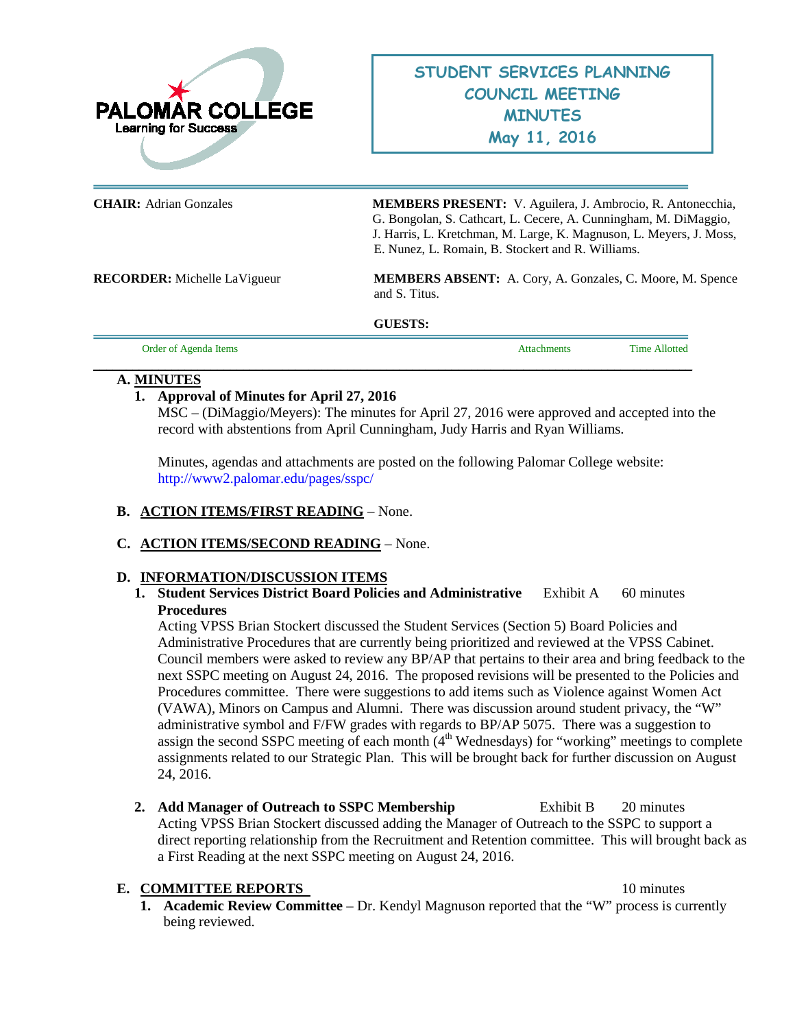

**CHAIR:** Adrian Gonzales **MEMBERS PRESENT:** V. Aguilera, J. Ambrocio, R. Antonecchia, G. Bongolan, S. Cathcart, L. Cecere, A. Cunningham, M. DiMaggio, J. Harris, L. Kretchman, M. Large, K. Magnuson, L. Meyers, J. Moss, E. Nunez, L. Romain, B. Stockert and R. Williams.

**RECORDER:** Michelle LaVigueur **MEMBERS ABSENT:** A. Cory, A. Gonzales, C. Moore, M. Spence and S. Titus.

**GUESTS:** 

| Agenda Items<br>Order of Ag |  | Time<br>Allottea |
|-----------------------------|--|------------------|
|                             |  |                  |

### **A. MINUTES**

## **1. Approval of Minutes for April 27, 2016**

MSC – (DiMaggio/Meyers): The minutes for April 27, 2016 were approved and accepted into the record with abstentions from April Cunningham, Judy Harris and Ryan Williams.

Minutes, agendas and attachments are posted on the following Palomar College website: <http://www2.palomar.edu/pages/sspc/>

- **B. ACTION ITEMS/FIRST READING** None.
- **C. ACTION ITEMS/SECOND READING** None.

## **D. INFORMATION/DISCUSSION ITEMS**

**1. Student Services District Board Policies and Administrative** Exhibit A 60 minutes **Procedures**

Acting VPSS Brian Stockert discussed the Student Services (Section 5) Board Policies and Administrative Procedures that are currently being prioritized and reviewed at the VPSS Cabinet. Council members were asked to review any BP/AP that pertains to their area and bring feedback to the next SSPC meeting on August 24, 2016. The proposed revisions will be presented to the Policies and Procedures committee. There were suggestions to add items such as Violence against Women Act (VAWA), Minors on Campus and Alumni. There was discussion around student privacy, the "W" administrative symbol and F/FW grades with regards to BP/AP 5075. There was a suggestion to assign the second SSPC meeting of each month  $(4<sup>th</sup>$  Wednesdays) for "working" meetings to complete assignments related to our Strategic Plan. This will be brought back for further discussion on August 24, 2016.

2. Add Manager of Outreach to SSPC Membership Exhibit B 20 minutes Acting VPSS Brian Stockert discussed adding the Manager of Outreach to the SSPC to support a direct reporting relationship from the Recruitment and Retention committee. This will brought back as a First Reading at the next SSPC meeting on August 24, 2016.

## **E. COMMITTEE REPORTS** 10 minutes

**1. Academic Review Committee** – Dr. Kendyl Magnuson reported that the "W" process is currently being reviewed.